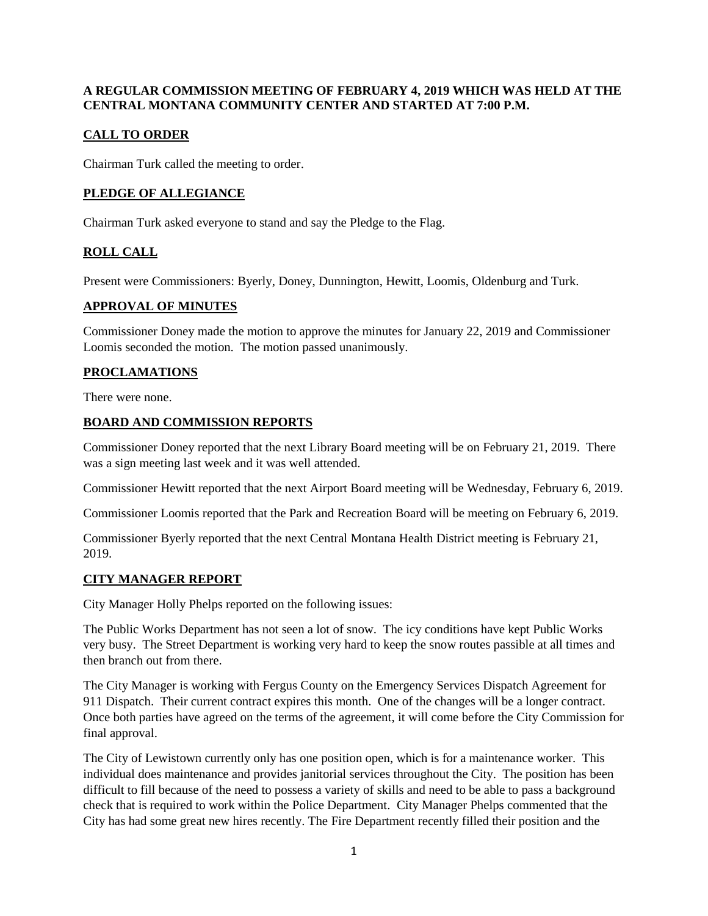### **A REGULAR COMMISSION MEETING OF FEBRUARY 4, 2019 WHICH WAS HELD AT THE CENTRAL MONTANA COMMUNITY CENTER AND STARTED AT 7:00 P.M.**

# **CALL TO ORDER**

Chairman Turk called the meeting to order.

# **PLEDGE OF ALLEGIANCE**

Chairman Turk asked everyone to stand and say the Pledge to the Flag.

# **ROLL CALL**

Present were Commissioners: Byerly, Doney, Dunnington, Hewitt, Loomis, Oldenburg and Turk.

#### **APPROVAL OF MINUTES**

Commissioner Doney made the motion to approve the minutes for January 22, 2019 and Commissioner Loomis seconded the motion. The motion passed unanimously.

# **PROCLAMATIONS**

There were none.

#### **BOARD AND COMMISSION REPORTS**

Commissioner Doney reported that the next Library Board meeting will be on February 21, 2019. There was a sign meeting last week and it was well attended.

Commissioner Hewitt reported that the next Airport Board meeting will be Wednesday, February 6, 2019.

Commissioner Loomis reported that the Park and Recreation Board will be meeting on February 6, 2019.

Commissioner Byerly reported that the next Central Montana Health District meeting is February 21, 2019.

#### **CITY MANAGER REPORT**

City Manager Holly Phelps reported on the following issues:

The Public Works Department has not seen a lot of snow. The icy conditions have kept Public Works very busy. The Street Department is working very hard to keep the snow routes passible at all times and then branch out from there.

The City Manager is working with Fergus County on the Emergency Services Dispatch Agreement for 911 Dispatch. Their current contract expires this month. One of the changes will be a longer contract. Once both parties have agreed on the terms of the agreement, it will come before the City Commission for final approval.

The City of Lewistown currently only has one position open, which is for a maintenance worker. This individual does maintenance and provides janitorial services throughout the City. The position has been difficult to fill because of the need to possess a variety of skills and need to be able to pass a background check that is required to work within the Police Department. City Manager Phelps commented that the City has had some great new hires recently. The Fire Department recently filled their position and the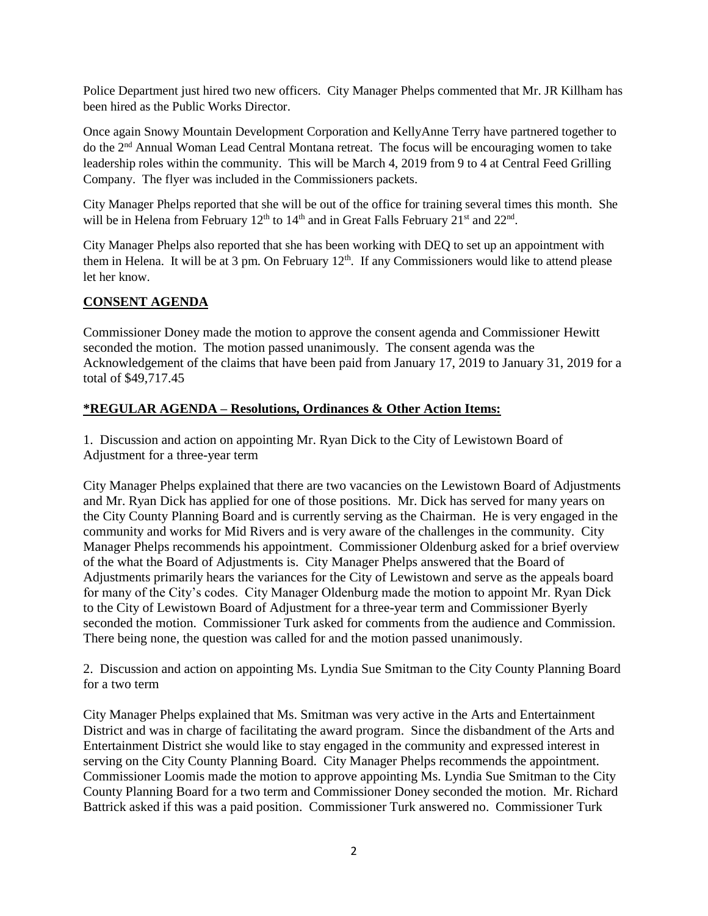Police Department just hired two new officers. City Manager Phelps commented that Mr. JR Killham has been hired as the Public Works Director.

Once again Snowy Mountain Development Corporation and KellyAnne Terry have partnered together to do the 2nd Annual Woman Lead Central Montana retreat. The focus will be encouraging women to take leadership roles within the community. This will be March 4, 2019 from 9 to 4 at Central Feed Grilling Company. The flyer was included in the Commissioners packets.

City Manager Phelps reported that she will be out of the office for training several times this month. She will be in Helena from February  $12<sup>th</sup>$  to  $14<sup>th</sup>$  and in Great Falls February  $21<sup>st</sup>$  and  $22<sup>nd</sup>$ .

City Manager Phelps also reported that she has been working with DEQ to set up an appointment with them in Helena. It will be at 3 pm. On February  $12<sup>th</sup>$ . If any Commissioners would like to attend please let her know.

# **CONSENT AGENDA**

Commissioner Doney made the motion to approve the consent agenda and Commissioner Hewitt seconded the motion. The motion passed unanimously. The consent agenda was the Acknowledgement of the claims that have been paid from January 17, 2019 to January 31, 2019 for a total of \$49,717.45

# **\*REGULAR AGENDA – Resolutions, Ordinances & Other Action Items:**

1. Discussion and action on appointing Mr. Ryan Dick to the City of Lewistown Board of Adjustment for a three-year term

City Manager Phelps explained that there are two vacancies on the Lewistown Board of Adjustments and Mr. Ryan Dick has applied for one of those positions. Mr. Dick has served for many years on the City County Planning Board and is currently serving as the Chairman. He is very engaged in the community and works for Mid Rivers and is very aware of the challenges in the community. City Manager Phelps recommends his appointment. Commissioner Oldenburg asked for a brief overview of the what the Board of Adjustments is. City Manager Phelps answered that the Board of Adjustments primarily hears the variances for the City of Lewistown and serve as the appeals board for many of the City's codes. City Manager Oldenburg made the motion to appoint Mr. Ryan Dick to the City of Lewistown Board of Adjustment for a three-year term and Commissioner Byerly seconded the motion. Commissioner Turk asked for comments from the audience and Commission. There being none, the question was called for and the motion passed unanimously.

2. Discussion and action on appointing Ms. Lyndia Sue Smitman to the City County Planning Board for a two term

City Manager Phelps explained that Ms. Smitman was very active in the Arts and Entertainment District and was in charge of facilitating the award program. Since the disbandment of the Arts and Entertainment District she would like to stay engaged in the community and expressed interest in serving on the City County Planning Board. City Manager Phelps recommends the appointment. Commissioner Loomis made the motion to approve appointing Ms. Lyndia Sue Smitman to the City County Planning Board for a two term and Commissioner Doney seconded the motion. Mr. Richard Battrick asked if this was a paid position. Commissioner Turk answered no. Commissioner Turk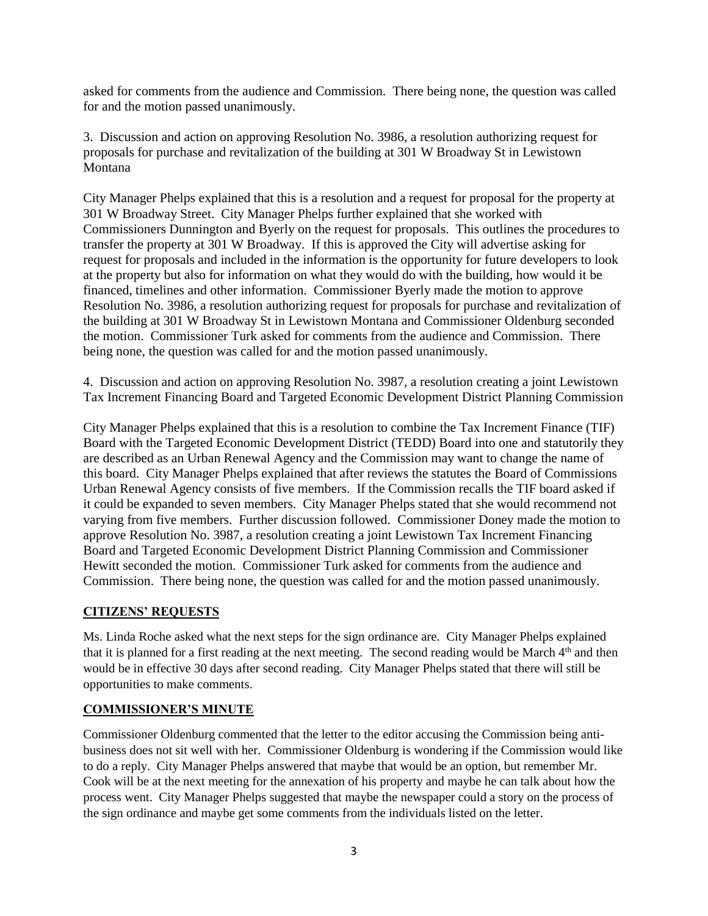asked for comments from the audience and Commission. There being none, the question was called for and the motion passed unanimously.

3. Discussion and action on approving Resolution No. 3986, a resolution authorizing request for proposals for purchase and revitalization of the building at 301 W Broadway St in Lewistown Montana

City Manager Phelps explained that this is a resolution and a request for proposal for the property at 301 W Broadway Street. City Manager Phelps further explained that she worked with Commissioners Dunnington and Byerly on the request for proposals. This outlines the procedures to transfer the property at 301 W Broadway. If this is approved the City will advertise asking for request for proposals and included in the information is the opportunity for future developers to look at the property but also for information on what they would do with the building, how would it be financed, timelines and other information. Commissioner Byerly made the motion to approve Resolution No. 3986, a resolution authorizing request for proposals for purchase and revitalization of the building at 301 W Broadway St in Lewistown Montana and Commissioner Oldenburg seconded the motion. Commissioner Turk asked for comments from the audience and Commission. There being none, the question was called for and the motion passed unanimously.

4. Discussion and action on approving Resolution No. 3987, a resolution creating a joint Lewistown Tax Increment Financing Board and Targeted Economic Development District Planning Commission

City Manager Phelps explained that this is a resolution to combine the Tax Increment Finance (TIF) Board with the Targeted Economic Development District (TEDD) Board into one and statutorily they are described as an Urban Renewal Agency and the Commission may want to change the name of this board. City Manager Phelps explained that after reviews the statutes the Board of Commissions Urban Renewal Agency consists of five members. If the Commission recalls the TIF board asked if it could be expanded to seven members. City Manager Phelps stated that she would recommend not varying from five members. Further discussion followed. Commissioner Doney made the motion to approve Resolution No. 3987, a resolution creating a joint Lewistown Tax Increment Financing Board and Targeted Economic Development District Planning Commission and Commissioner Hewitt seconded the motion. Commissioner Turk asked for comments from the audience and Commission. There being none, the question was called for and the motion passed unanimously.

#### **CITIZENS' REQUESTS**

Ms. Linda Roche asked what the next steps for the sign ordinance are. City Manager Phelps explained that it is planned for a first reading at the next meeting. The second reading would be March  $4<sup>th</sup>$  and then would be in effective 30 days after second reading. City Manager Phelps stated that there will still be opportunities to make comments.

# **COMMISSIONER'S MINUTE**

Commissioner Oldenburg commented that the letter to the editor accusing the Commission being antibusiness does not sit well with her. Commissioner Oldenburg is wondering if the Commission would like to do a reply. City Manager Phelps answered that maybe that would be an option, but remember Mr. Cook will be at the next meeting for the annexation of his property and maybe he can talk about how the process went. City Manager Phelps suggested that maybe the newspaper could a story on the process of the sign ordinance and maybe get some comments from the individuals listed on the letter.